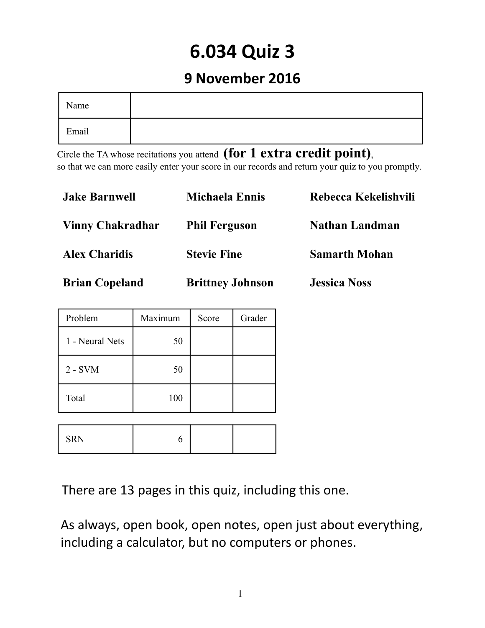# **6.034 Quiz 3**

# **9 November 2016**

| Name  |  |
|-------|--|
| Email |  |

Circle the TA whose recitations you attend **(for 1 extra credit point)**, so that we can more easily enter your score in our records and return your quiz to you promptly.

| <b>Jake Barnwell</b>    | <b>Michaela Ennis</b>   | Rebecca Kekelishvili  |
|-------------------------|-------------------------|-----------------------|
| <b>Vinny Chakradhar</b> | <b>Phil Ferguson</b>    | <b>Nathan Landman</b> |
| <b>Alex Charidis</b>    | <b>Stevie Fine</b>      | <b>Samarth Mohan</b>  |
| <b>Brian Copeland</b>   | <b>Brittney Johnson</b> | <b>Jessica Noss</b>   |

| Problem         | Maximum | Score | Grader |  |  |
|-----------------|---------|-------|--------|--|--|
| 1 - Neural Nets | 50      |       |        |  |  |
| $2 - SVM$       | 50      |       |        |  |  |
| Total           | 100     |       |        |  |  |
|                 |         |       |        |  |  |
| <b>SRN</b>      | 6       |       |        |  |  |

There are 13 pages in this quiz, including this one.

As always, open book, open notes, open just about everything, including a calculator, but no computers or phones.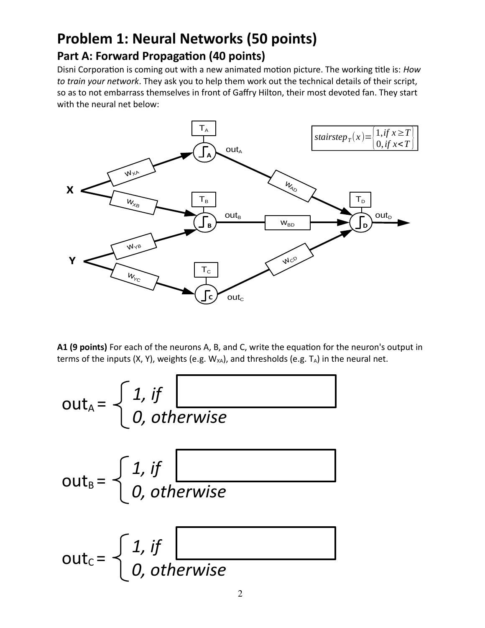# **Problem 1: Neural Networks (50 points) Part A: Forward Propagation (40 points)**

Disni Corporation is coming out with a new animated motion picture. The working title is: *How to train your network*. They ask you to help them work out the technical details of their script, so as to not embarrass themselves in front of Gaffry Hilton, their most devoted fan. They start with the neural net below:



**A1 (9 points)** For each of the neurons A, B, and C, write the equation for the neuron's output in terms of the inputs  $(X, Y)$ , weights (e.g.  $W_{XA}$ ), and thresholds (e.g.  $T_A$ ) in the neural net.

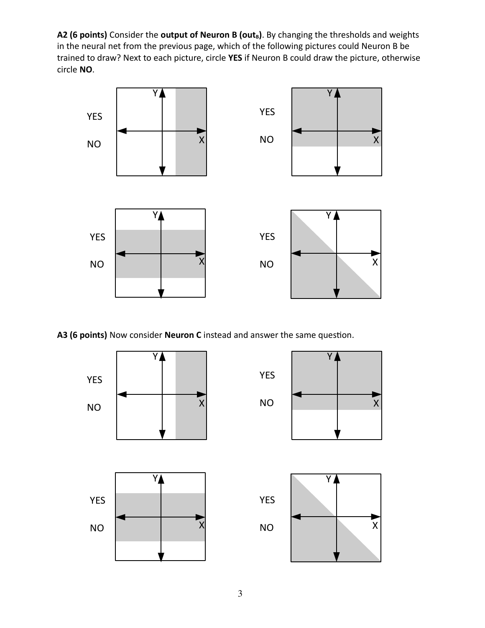A2 (6 points) Consider the output of Neuron B (out<sub>B</sub>). By changing the thresholds and weights in the neural net from the previous page, which of the following pictures could Neuron B be trained to draw? Next to each picture, circle **YES** if Neuron B could draw the picture, otherwise circle **NO**.



**A3 (6 points)** Now consider **Neuron C** instead and answer the same question.

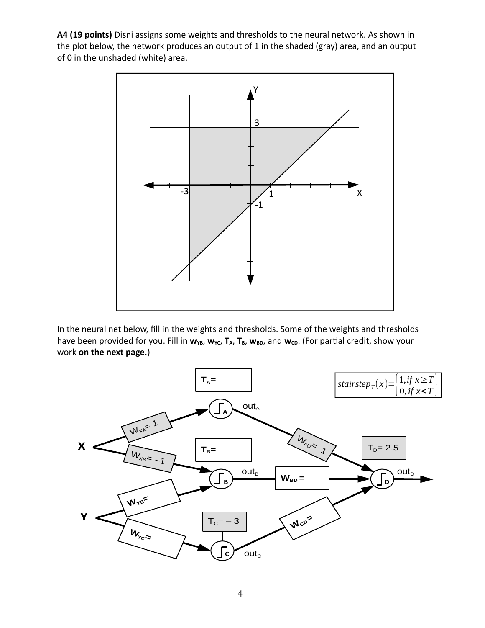**A4 (19 points)** Disni assigns some weights and thresholds to the neural network. As shown in the plot below, the network produces an output of 1 in the shaded (gray) area, and an output of 0 in the unshaded (white) area.



In the neural net below, fill in the weights and thresholds. Some of the weights and thresholds have been provided for you. Fill in  $w_{YB}$ ,  $w_{YC}$ ,  $T_A$ ,  $T_B$ ,  $w_{BD}$ , and  $w_{CD}$ . (For partial credit, show your work **on the next page**.)

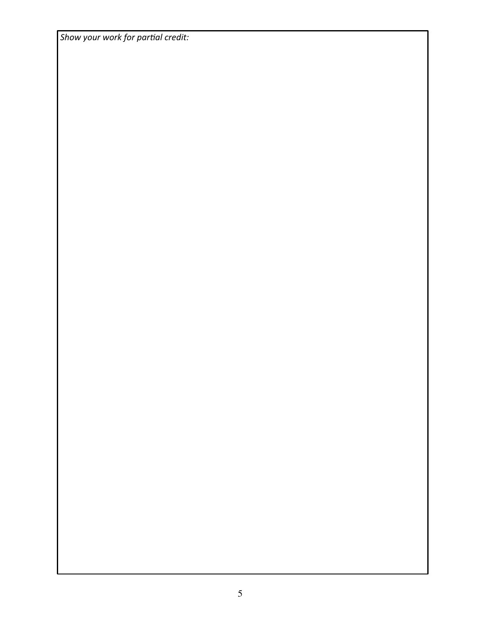*Show your work for partial credit:*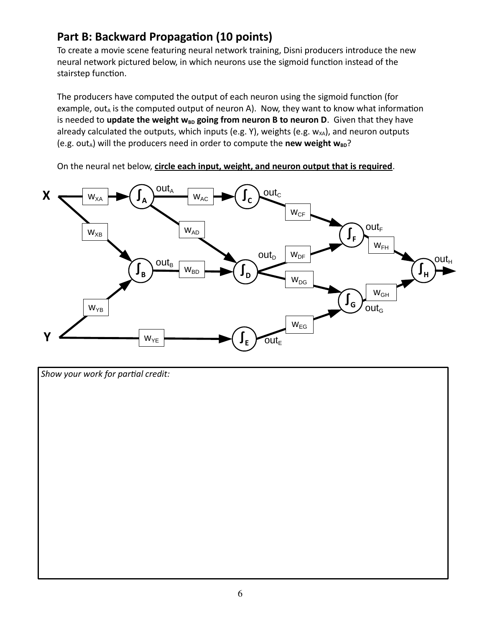### **Part B: Backward Propagation (10 points)**

To create a movie scene featuring neural network training, Disni producers introduce the new neural network pictured below, in which neurons use the sigmoid function instead of the stairstep function.

The producers have computed the output of each neuron using the sigmoid function (for example, out $_A$  is the computed output of neuron A). Now, they want to know what information is needed to update the weight w<sub>BD</sub> going from neuron B to neuron D. Given that they have already calculated the outputs, which inputs (e.g. Y), weights (e.g.  $w_{XA}$ ), and neuron outputs (e.g. out<sub>A</sub>) will the producers need in order to compute the **new weight w**<sub>BD</sub>?

On the neural net below, **circle each input, weight, and neuron output that is required**.



*Show your work for partial credit:*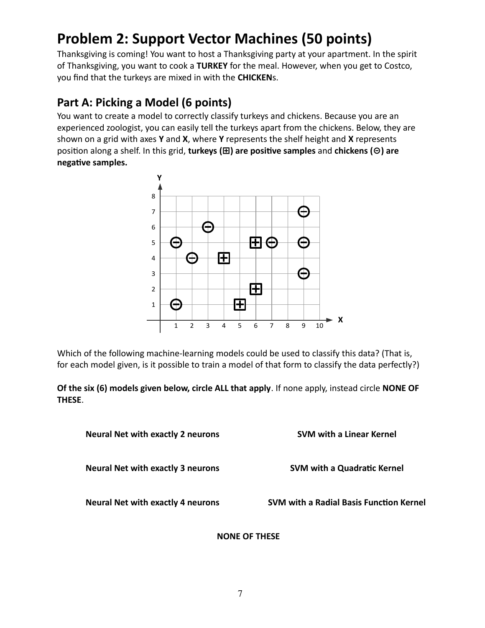# **Problem 2: Support Vector Machines (50 points)**

Thanksgiving is coming! You want to host a Thanksgiving party at your apartment. In the spirit of Thanksgiving, you want to cook a **TURKEY** for the meal. However, when you get to Costco, you find that the turkeys are mixed in with the **CHICKEN**s.

### **Part A: Picking a Model (6 points)**

You want to create a model to correctly classify turkeys and chickens. Because you are an experienced zoologist, you can easily tell the turkeys apart from the chickens. Below, they are shown on a grid with axes **Y** and **X**, where **Y** represents the shelf height and **X** represents position along a shelf. In this grid, **turkeys (⊞) are positive samples** and **chickens (⊝) are negative samples.**



Which of the following machine-learning models could be used to classify this data? (That is, for each model given, is it possible to train a model of that form to classify the data perfectly?)

**Of the six (6) models given below, circle ALL that apply**. If none apply, instead circle **NONE OF THESE**.

| <b>Neural Net with exactly 2 neurons</b> | <b>SVM with a Linear Kernel</b>                |
|------------------------------------------|------------------------------------------------|
| <b>Neural Net with exactly 3 neurons</b> | <b>SVM with a Quadratic Kernel</b>             |
| <b>Neural Net with exactly 4 neurons</b> | <b>SVM with a Radial Basis Function Kernel</b> |

#### **NONE OF THESE**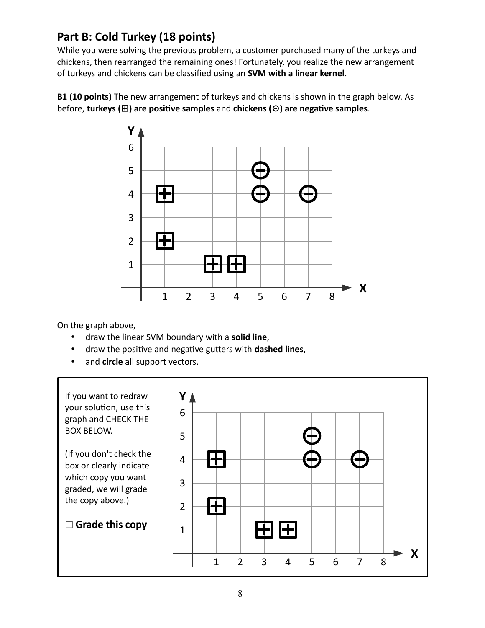### **Part B: Cold Turkey (18 points)**

While you were solving the previous problem, a customer purchased many of the turkeys and chickens, then rearranged the remaining ones! Fortunately, you realize the new arrangement of turkeys and chickens can be classified using an **SVM with a linear kernel**.

**B1 (10 points)** The new arrangement of turkeys and chickens is shown in the graph below. As before, **turkeys (⊞) are positive samples** and **chickens (⊝) are negative samples**.



On the graph above,

- draw the linear SVM boundary with a **solid line**,
- draw the positive and negative gutters with **dashed lines**,
- and **circle** all support vectors.

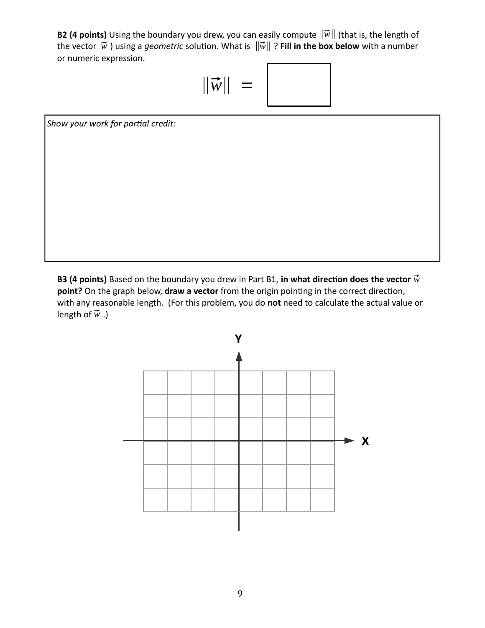**B2 (4 points)** Using the boundary you drew, you can easily compute ‖⃗*w*‖ (that is, the length of the vector  $\vec{w}$  ) using a *geometric* solution. What is  $\|\vec{w}\|$  ? **Fill in the box below** with a number or numeric expression.

$$
\|\vec{w}\| =
$$

*Show your work for partial credit:*

**B3 (4 points)** Based on the boundary you drew in Part B1, in what direction does the vector  $\vec{w}$ **point?** On the graph below, **draw a vector** from the origin pointing in the correct direction, with any reasonable length. (For this problem, you do **not** need to calculate the actual value or length of  $\vec{w}$ .)

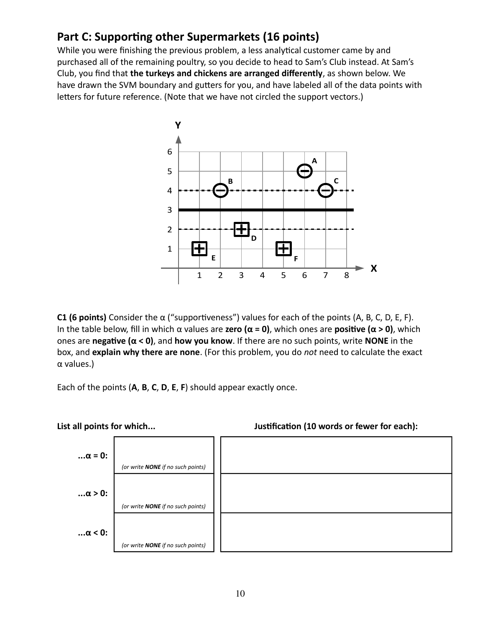### **Part C: Supporting other Supermarkets (16 points)**

While you were finishing the previous problem, a less analytical customer came by and purchased all of the remaining poultry, so you decide to head to Sam's Club instead. At Sam's Club, you find that **the turkeys and chickens are arranged differently**, as shown below. We have drawn the SVM boundary and gutters for you, and have labeled all of the data points with letters for future reference. (Note that we have not circled the support vectors.)



**C1 (6 points)** Consider the α ("supportiveness") values for each of the points (A, B, C, D, E, F). In the table below, fill in which α values are **zero (α = 0)**, which ones are **positive (α > 0)**, which ones are **negative (α < 0)**, and **how you know**. If there are no such points, write **NONE** in the box, and **explain why there are none**. (For this problem, you do *not* need to calculate the exact α values.)

Each of the points (**A**, **B**, **C**, **D**, **E**, **F**) should appear exactly once.



**List all points for which... Justification (10 words or fewer for each):**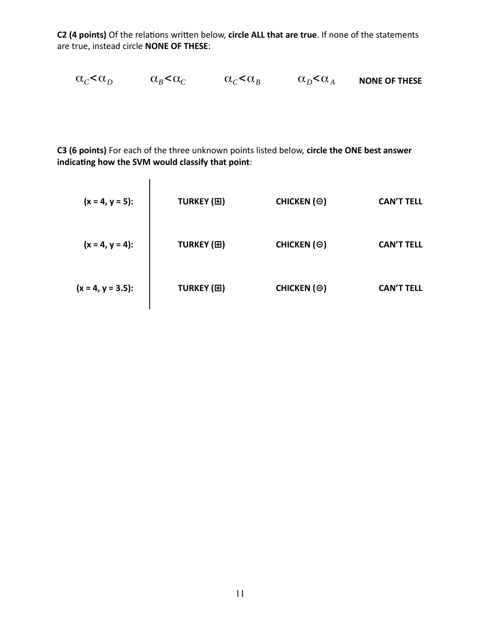**C2 (4 points)** Of the relations written below, **circle ALL that are true**. If none of the statements are true, instead circle **NONE OF THESE**:

$$
\alpha_C < \alpha_D \qquad \quad \alpha_B < \alpha_C \qquad \quad \alpha_C < \alpha_B \qquad \quad \alpha_D < \alpha_A \qquad \text{none of these}
$$

**C3 (6 points)** For each of the three unknown points listed below, **circle the ONE best answer indicating how the SVM would classify that point**:

| $(x = 4, y = 5)$ :   | TURKEY (H) | CHICKEN (Θ) | CAN'T TELL |
|----------------------|------------|-------------|------------|
| $(x = 4, y = 3.5)$ : | TURKEY (H) | CHICKEN (Θ) | CAN'T TELL |
| $(x = 4, y = 3.5)$ : | TURKEY (H) | CHICKEN (Θ) | CAN'T TELL |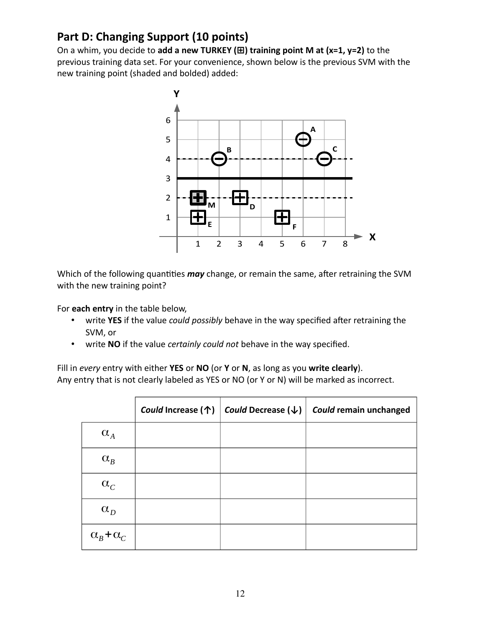## **Part D: Changing Support (10 points)**

On a whim, you decide to **add a new TURKEY (⊞) training point M at (x=1, y=2)** to the previous training data set. For your convenience, shown below is the previous SVM with the new training point (shaded and bolded) added:



Which of the following quantities *may* change, or remain the same, after retraining the SVM with the new training point?

For **each entry** in the table below,

- write **YES** if the value *could possibly* behave in the way specified after retraining the SVM, or
- write **NO** if the value *certainly could not* behave in the way specified.

Fill in *every* entry with either **YES** or **NO** (or **Y** or **N**, as long as you **write clearly**). Any entry that is not clearly labeled as YES or NO (or Y or N) will be marked as incorrect.

|                       | Could Increase (个) | $\mid$ <i>Could</i> Decrease ( $\downarrow$ ) $\mid$ | Could remain unchanged |
|-----------------------|--------------------|------------------------------------------------------|------------------------|
| $\alpha_A$            |                    |                                                      |                        |
| $\alpha_B^{}$         |                    |                                                      |                        |
| $\alpha_C$            |                    |                                                      |                        |
| $\alpha_{D}$          |                    |                                                      |                        |
| $\alpha_B + \alpha_C$ |                    |                                                      |                        |